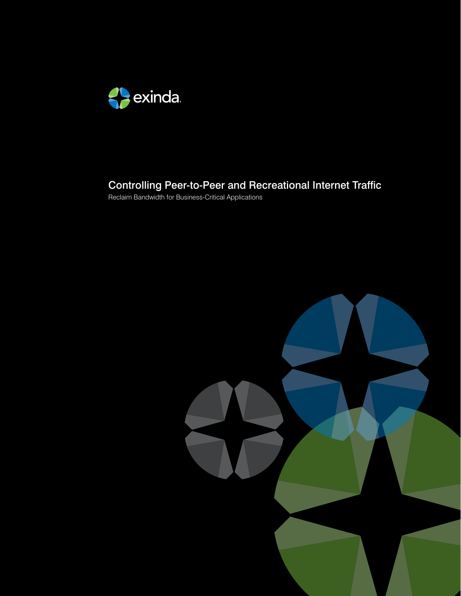

# Controlling Peer-to-Peer and Recreational Internet Traffic

Reclaim Bandwidth for Business-Critical Applications

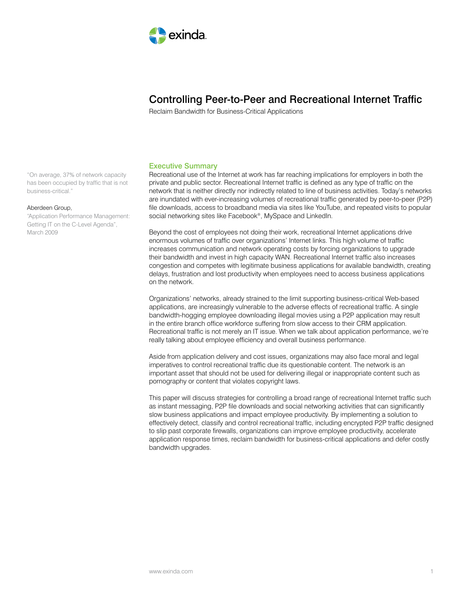

# Controlling Peer-to-Peer and Recreational Internet Traffic

Reclaim Bandwidth for Business-Critical Applications

# Executive Summary

Recreational use of the Internet at work has far reaching implications for employers in both the private and public sector. Recreational Internet traffic is defined as any type of traffic on the network that is neither directly nor indirectly related to line of business activities. Today's networks are inundated with ever-increasing volumes of recreational traffic generated by peer-to-peer (P2P) file downloads, access to broadband media via sites like YouTube, and repeated visits to popular social networking sites like Facebook®, MySpace and LinkedIn.

Beyond the cost of employees not doing their work, recreational Internet applications drive enormous volumes of traffic over organizations' Internet links. This high volume of traffic increases communication and network operating costs by forcing organizations to upgrade their bandwidth and invest in high capacity WAN. Recreational Internet traffic also increases congestion and competes with legitimate business applications for available bandwidth, creating delays, frustration and lost productivity when employees need to access business applications on the network.

Organizations' networks, already strained to the limit supporting business-critical Web-based applications, are increasingly vulnerable to the adverse effects of recreational traffic. A single bandwidth-hogging employee downloading illegal movies using a P2P application may result in the entire branch office workforce suffering from slow access to their CRM application. Recreational traffic is not merely an IT issue. When we talk about application performance, we're really talking about employee efficiency and overall business performance.

Aside from application delivery and cost issues, organizations may also face moral and legal imperatives to control recreational traffic due its questionable content. The network is an important asset that should not be used for delivering illegal or inappropriate content such as pornography or content that violates copyright laws.

This paper will discuss strategies for controlling a broad range of recreational Internet traffic such as instant messaging, P2P file downloads and social networking activities that can significantly slow business applications and impact employee productivity. By implementing a solution to effectively detect, classify and control recreational traffic, including encrypted P2P traffic designed to slip past corporate firewalls, organizations can improve employee productivity, accelerate application response times, reclaim bandwidth for business-critical applications and defer costly bandwidth upgrades.

"On average, 37% of network capacity has been occupied by traffic that is not business-critical."

#### Aberdeen Group,

"Application Performance Management: Getting IT on the C-Level Agenda", March 2009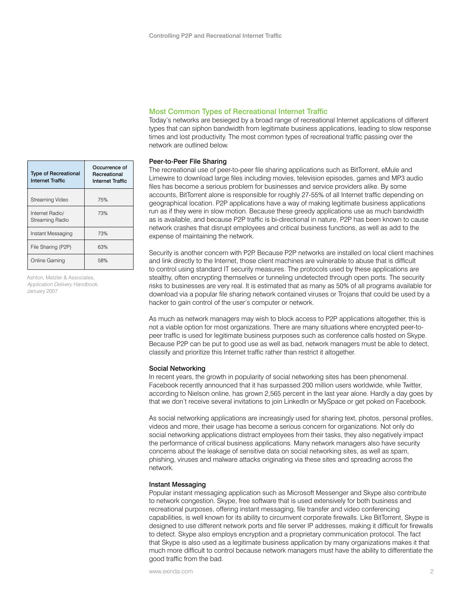| <b>Type of Recreational</b><br>Internet Traffic | Occurrence of<br>Recreational<br><b>Internet Traffic</b> |
|-------------------------------------------------|----------------------------------------------------------|
| Streaming Video                                 | 75%                                                      |
| Internet Radio/<br>Streaming Radio              | 73%                                                      |
| Instant Messaging                               | 73%                                                      |
| File Sharing (P2P)                              | 63%                                                      |
| Online Gaming                                   | 58%                                                      |

Ashton, Metzler & Associates, Application Delivery Handbook, January 2007

# Most Common Types of Recreational Internet Traffic

Today's networks are besieged by a broad range of recreational Internet applications of different types that can siphon bandwidth from legitimate business applications, leading to slow response times and lost productivity. The most common types of recreational traffic passing over the network are outlined below.

# Peer-to-Peer File Sharing

The recreational use of peer-to-peer file sharing applications such as BitTorrent, eMule and Limewire to download large files including movies, television episodes, games and MP3 audio files has become a serious problem for businesses and service providers alike. By some accounts, BitTorrent alone is responsible for roughly 27-55% of all Internet traffic depending on geographical location. P2P applications have a way of making legitimate business applications run as if they were in slow motion. Because these greedy applications use as much bandwidth as is available, and because P2P traffic is bi-directional in nature, P2P has been known to cause network crashes that disrupt employees and critical business functions, as well as add to the expense of maintaining the network.

Security is another concern with P2P. Because P2P networks are installed on local client machines and link directly to the Internet, those client machines are vulnerable to abuse that is difficult to control using standard IT security measures. The protocols used by these applications are stealthy, often encrypting themselves or tunneling undetected through open ports. The security risks to businesses are very real. It is estimated that as many as 50% of all programs available for download via a popular file sharing network contained viruses or Trojans that could be used by a hacker to gain control of the user's computer or network.

As much as network managers may wish to block access to P2P applications altogether, this is not a viable option for most organizations. There are many situations where encrypted peer-topeer traffic is used for legitimate business purposes such as conference calls hosted on Skype. Because P2P can be put to good use as well as bad, network managers must be able to detect, classify and prioritize this Internet traffic rather than restrict it altogether.

#### Social Networking

In recent years, the growth in popularity of social networking sites has been phenomenal. Facebook recently announced that it has surpassed 200 million users worldwide, while Twitter, according to Nielson online, has grown 2,565 percent in the last year alone. Hardly a day goes by that we don't receive several invitations to join LinkedIn or MySpace or get poked on Facebook.

As social networking applications are increasingly used for sharing text, photos, personal profiles, videos and more, their usage has become a serious concern for organizations. Not only do social networking applications distract employees from their tasks, they also negatively impact the performance of critical business applications. Many network managers also have security concerns about the leakage of sensitive data on social networking sites, as well as spam, phishing, viruses and malware attacks originating via these sites and spreading across the network.

#### Instant Messaging

Popular instant messaging application such as Microsoft Messenger and Skype also contribute to network congestion. Skype, free software that is used extensively for both business and recreational purposes, offering instant messaging, file transfer and video conferencing capabilities, is well known for its ability to circumvent corporate firewalls. Like BitTorrent, Skype is designed to use different network ports and file server IP addresses, making it difficult for firewalls to detect. Skype also employs encryption and a proprietary communication protocol. The fact that Skype is also used as a legitimate business application by many organizations makes it that much more difficult to control because network managers must have the ability to differentiate the good traffic from the bad.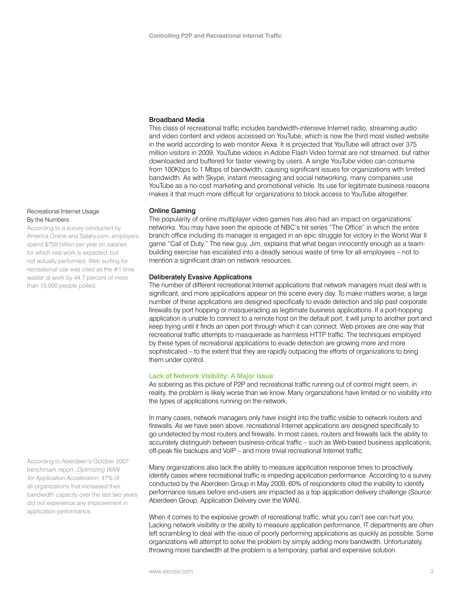# Broadband Media

This class of recreational traffic includes bandwidth-intensive Internet radio, streaming audio and video content and videos accessed on YouTube, which is now the third most visited website in the world according to web monitor Alexa. It is projected that YouTube will attract over 375 million visitors in 2009. YouTube videos in Adobe Flash Video format are not streamed, but rather downloaded and buffered for faster viewing by users. A single YouTube video can consume from 100Kbps to 1 Mbps of bandwidth, causing significant issues for organizations with limited bandwidth. As with Skype, instant messaging and social networking, many companies use YouTube as a no-cost marketing and promotional vehicle. Its use for legitimate business reasons makes it that much more difficult for organizations to block access to YouTube altogether.

#### Online Gaming

The popularity of online multiplayer video games has also had an impact on organizations' networks. You may have seen the episode of NBC's hit series "The Office" in which the entire branch office including its manager is engaged in an epic struggle for victory in the World War II game "Call of Duty." The new guy, Jim, explains that what began innocently enough as a teambuilding exercise has escalated into a deadly serious waste of time for all employees – not to mention a significant drain on network resources.

## Deliberately Evasive Applications

The number of different recreational Internet applications that network managers must deal with is significant, and more applications appear on the scene every day. To make matters worse, a large number of these applications are designed specifically to evade detection and slip past corporate firewalls by port hopping or masquerading as legitimate business applications. If a port-hopping application is unable to connect to a remote host on the default port, it will jump to another port and keep trying until it finds an open port through which it can connect. Web proxies are one way that recreational traffic attempts to masquerade as harmless HTTP traffic. The techniques employed by these types of recreational applications to evade detection are growing more and more sophisticated – to the extent that they are rapidly outpacing the efforts of organizations to bring them under control.

#### Lack of Network Visibility: A Major Issue

As sobering as this picture of P2P and recreational traffic running out of control might seem, in reality, the problem is likely worse than we know. Many organizations have limited or no visibility into the types of applications running on the network.

In many cases, network managers only have insight into the traffic visible to network routers and firewalls. As we have seen above, recreational Internet applications are designed specifically to go undetected by most routers and firewalls. In most cases, routers and firewalls lack the ability to accurately distinguish between business-critical traffic – such as Web-based business applications, off-peak file backups and VoIP – and more trivial recreational Internet traffic.

Many organizations also lack the ability to measure application response times to proactively identify cases where recreational traffic is impeding application performance. According to a survey conducted by the Aberdeen Group in May 2009, 60% of respondents cited the inability to identify performance issues before end-users are impacted as a top application delivery challenge (Source: Aberdeen Group, Application Delivery over the WAN).

When it comes to the explosive growth of recreational traffic, what you can't see can hurt you. Lacking network visibility or the ability to measure application performance, IT departments are often left scrambling to deal with the issue of poorly performing applications as quickly as possible. Some organizations will attempt to solve the problem by simply adding more bandwidth. Unfortunately, throwing more bandwidth at the problem is a temporary, partial and expensive solution.

# Recreational Internet Usage By the Numbers

According to a survey conducted by America Online and Salary.com, employers spend \$759 billion per year on salaries for which real work is expected, but not actually performed. Web surfing for recreational use was cited as the #1 time waster at work by 44.7 percent of more than 10,000 people polled.

According to Aberdeen's October 2007 benchmark report, Optimizing WAN for Application Acceleration, 47% of all organizations that increased their bandwidth capacity over the last two years did not experience any improvement in application performance.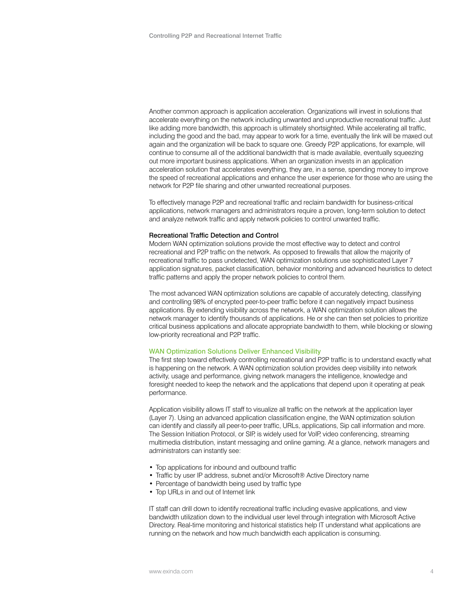Another common approach is application acceleration. Organizations will invest in solutions that accelerate everything on the network including unwanted and unproductive recreational traffic. Just like adding more bandwidth, this approach is ultimately shortsighted. While accelerating all traffic, including the good and the bad, may appear to work for a time, eventually the link will be maxed out again and the organization will be back to square one. Greedy P2P applications, for example, will continue to consume all of the additional bandwidth that is made available, eventually squeezing out more important business applications. When an organization invests in an application acceleration solution that accelerates everything, they are, in a sense, spending money to improve the speed of recreational applications and enhance the user experience for those who are using the network for P2P file sharing and other unwanted recreational purposes.

To effectively manage P2P and recreational traffic and reclaim bandwidth for business-critical applications, network managers and administrators require a proven, long-term solution to detect and analyze network traffic and apply network policies to control unwanted traffic.

#### Recreational Traffic Detection and Control

Modern WAN optimization solutions provide the most effective way to detect and control recreational and P2P traffic on the network. As opposed to firewalls that allow the majority of recreational traffic to pass undetected, WAN optimization solutions use sophisticated Layer 7 application signatures, packet classification, behavior monitoring and advanced heuristics to detect traffic patterns and apply the proper network policies to control them.

The most advanced WAN optimization solutions are capable of accurately detecting, classifying and controlling 98% of encrypted peer-to-peer traffic before it can negatively impact business applications. By extending visibility across the network, a WAN optimization solution allows the network manager to identify thousands of applications. He or she can then set policies to prioritize critical business applications and allocate appropriate bandwidth to them, while blocking or slowing low-priority recreational and P2P traffic.

# WAN Optimization Solutions Deliver Enhanced Visibility

The first step toward effectively controlling recreational and P2P traffic is to understand exactly what is happening on the network. A WAN optimization solution provides deep visibility into network activity, usage and performance, giving network managers the intelligence, knowledge and foresight needed to keep the network and the applications that depend upon it operating at peak performance.

Application visibility allows IT staff to visualize all traffic on the network at the application layer (Layer 7). Using an advanced application classification engine, the WAN optimization solution can identify and classify all peer-to-peer traffic, URLs, applications, Sip call information and more. The Session Initiation Protocol, or SIP, is widely used for VoIP, video conferencing, streaming multimedia distribution, instant messaging and online gaming. At a glance, network managers and administrators can instantly see:

- Top applications for inbound and outbound traffic
- Traffic by user IP address, subnet and/or Microsoft® Active Directory name
- Percentage of bandwidth being used by traffic type
- Top URLs in and out of Internet link

IT staff can drill down to identify recreational traffic including evasive applications, and view bandwidth utilization down to the individual user level through integration with Microsoft Active Directory. Real-time monitoring and historical statistics help IT understand what applications are running on the network and how much bandwidth each application is consuming.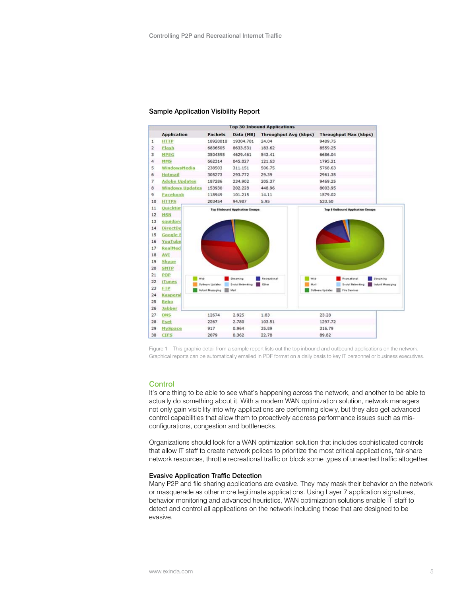#### Sample Application Visibility Report



Figure 1 – This graphic detail from a sample report lists out the top inbound and outbound applications on the network. Graphical reports can be automatically emailed in PDF format on a daily basis to key IT personnel or business executives.

## **Control**

It's one thing to be able to see what's happening across the network, and another to be able to actually do something about it. With a modern WAN optimization solution, network managers not only gain visibility into why applications are performing slowly, but they also get advanced control capabilities that allow them to proactively address performance issues such as misconfigurations, congestion and bottlenecks.

Organizations should look for a WAN optimization solution that includes sophisticated controls that allow IT staff to create network polices to prioritize the most critical applications, fair-share network resources, throttle recreational traffic or block some types of unwanted traffic altogether.

#### Evasive Application Traffic Detection

Many P2P and file sharing applications are evasive. They may mask their behavior on the network or masquerade as other more legitimate applications. Using Layer 7 application signatures, behavior monitoring and advanced heuristics, WAN optimization solutions enable IT staff to detect and control all applications on the network including those that are designed to be evasive.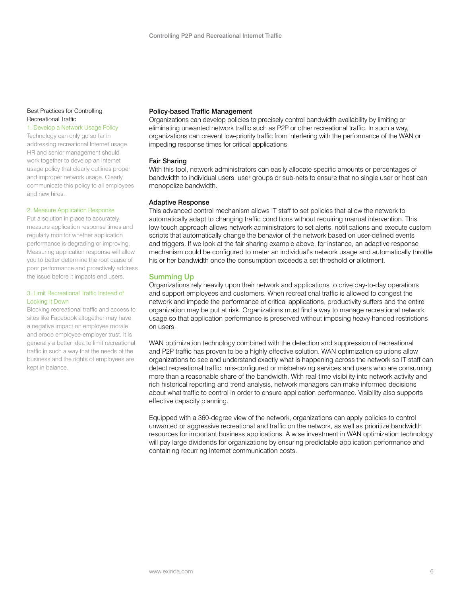# Best Practices for Controlling Recreational Traffic

#### 1. Develop a Network Usage Policy

Technology can only go so far in addressing recreational Internet usage. HR and senior management should work together to develop an Internet usage policy that clearly outlines proper and improper network usage. Clearly communicate this policy to all employees and new hires.

#### 2. Measure Application Response

Put a solution in place to accurately measure application response times and regularly monitor whether application performance is degrading or improving. Measuring application response will allow you to better determine the root cause of poor performance and proactively address the issue before it impacts end users.

# 3. Limit Recreational Traffic Instead of Locking It Down

Blocking recreational traffic and access to sites like Facebook altogether may have a negative impact on employee morale and erode employee-employer trust. It is generally a better idea to limit recreational traffic in such a way that the needs of the business and the rights of employees are kept in balance.

#### Policy-based Traffic Management

Organizations can develop policies to precisely control bandwidth availability by limiting or eliminating unwanted network traffic such as P2P or other recreational traffic. In such a way, organizations can prevent low-priority traffic from interfering with the performance of the WAN or impeding response times for critical applications.

# Fair Sharing

With this tool, network administrators can easily allocate specific amounts or percentages of bandwidth to individual users, user groups or sub-nets to ensure that no single user or host can monopolize bandwidth.

#### Adaptive Response

This advanced control mechanism allows IT staff to set policies that allow the network to automatically adapt to changing traffic conditions without requiring manual intervention. This low-touch approach allows network administrators to set alerts, notifications and execute custom scripts that automatically change the behavior of the network based on user-defined events and triggers. If we look at the fair sharing example above, for instance, an adaptive response mechanism could be configured to meter an individual's network usage and automatically throttle his or her bandwidth once the consumption exceeds a set threshold or allotment.

# Summing Up

Organizations rely heavily upon their network and applications to drive day-to-day operations and support employees and customers. When recreational traffic is allowed to congest the network and impede the performance of critical applications, productivity suffers and the entire organization may be put at risk. Organizations must find a way to manage recreational network usage so that application performance is preserved without imposing heavy-handed restrictions on users.

WAN optimization technology combined with the detection and suppression of recreational and P2P traffic has proven to be a highly effective solution. WAN optimization solutions allow organizations to see and understand exactly what is happening across the network so IT staff can detect recreational traffic, mis-configured or misbehaving services and users who are consuming more than a reasonable share of the bandwidth. With real-time visibility into network activity and rich historical reporting and trend analysis, network managers can make informed decisions about what traffic to control in order to ensure application performance. Visibility also supports effective capacity planning.

Equipped with a 360-degree view of the network, organizations can apply policies to control unwanted or aggressive recreational and traffic on the network, as well as prioritize bandwidth resources for important business applications. A wise investment in WAN optimization technology will pay large dividends for organizations by ensuring predictable application performance and containing recurring Internet communication costs.